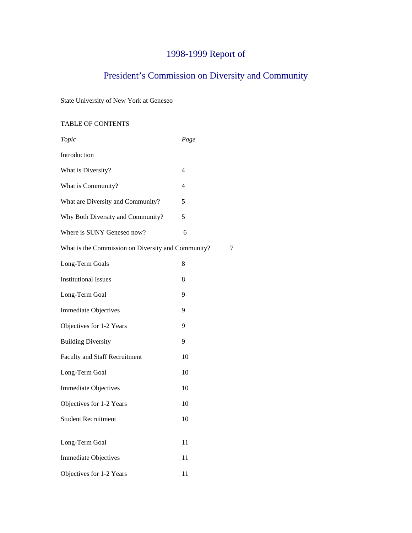# 1998-1999 Report of

# President's Commission on Diversity and Community

State University of New York at Geneseo

# TABLE OF CONTENTS

| Topic                                              | Page           |   |
|----------------------------------------------------|----------------|---|
| Introduction                                       |                |   |
| What is Diversity?                                 | 4              |   |
| What is Community?                                 | $\overline{4}$ |   |
| What are Diversity and Community?                  | 5              |   |
| Why Both Diversity and Community?                  | 5              |   |
| Where is SUNY Geneseo now?                         | 6              |   |
| What is the Commission on Diversity and Community? |                | 7 |
| Long-Term Goals                                    | 8              |   |
| <b>Institutional Issues</b>                        | 8              |   |
| Long-Term Goal                                     | 9              |   |
| <b>Immediate Objectives</b>                        | 9              |   |
| Objectives for 1-2 Years                           | 9              |   |
| <b>Building Diversity</b>                          | 9              |   |
| <b>Faculty and Staff Recruitment</b>               | 10             |   |
| Long-Term Goal                                     | 10             |   |
| <b>Immediate Objectives</b>                        | 10             |   |
| Objectives for 1-2 Years                           | 10             |   |
| <b>Student Recruitment</b>                         | 10             |   |
| Long-Term Goal                                     | 11             |   |
| <b>Immediate Objectives</b>                        | 11             |   |
| Objectives for 1-2 Years                           | 11             |   |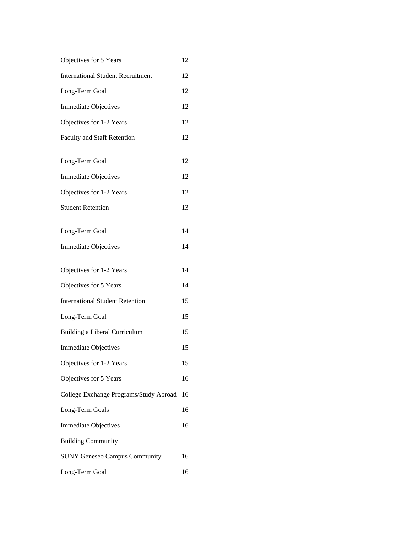| 12 |
|----|
|    |

- International Student Recruitment 12
- Long-Term Goal 12
- Immediate Objectives 12
- Objectives for 1-2 Years 12
- Faculty and Staff Retention 12
- Long-Term Goal 12
- Immediate Objectives 12 Objectives for 1-2 Years 12
- Student Retention 13
- Long-Term Goal 14
- Immediate Objectives 14
- Objectives for 1-2 Years 14
- Objectives for 5 Years 14 International Student Retention 15
- Long-Term Goal 15
- Building a Liberal Curriculum 15
- Immediate Objectives 15
- Objectives for 1-2 Years 15
- Objectives for 5 Years 16
- College Exchange Programs/Study Abroad 16 Long-Term Goals 16 Immediate Objectives 16
- Building Community
- SUNY Geneseo Campus Community 16 Long-Term Goal 16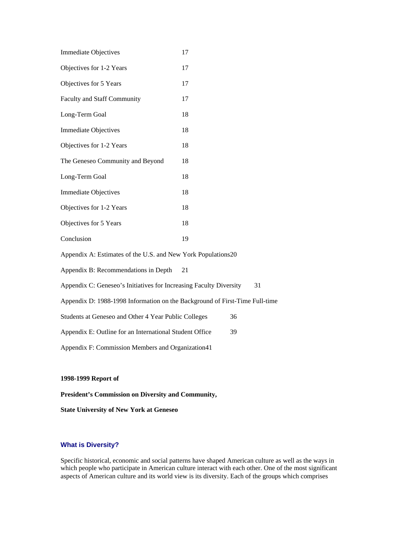| <b>Immediate Objectives</b>                                                 | 17 |  |
|-----------------------------------------------------------------------------|----|--|
| Objectives for 1-2 Years                                                    | 17 |  |
| Objectives for 5 Years                                                      | 17 |  |
| <b>Faculty and Staff Community</b>                                          | 17 |  |
| Long-Term Goal                                                              | 18 |  |
| <b>Immediate Objectives</b>                                                 | 18 |  |
| Objectives for 1-2 Years                                                    | 18 |  |
| The Geneseo Community and Beyond                                            | 18 |  |
| Long-Term Goal                                                              | 18 |  |
| <b>Immediate Objectives</b>                                                 | 18 |  |
| Objectives for 1-2 Years                                                    | 18 |  |
| Objectives for 5 Years                                                      | 18 |  |
| Conclusion                                                                  | 19 |  |
| Appendix A: Estimates of the U.S. and New York Populations20                |    |  |
| Appendix B: Recommendations in Depth                                        | 21 |  |
| Appendix C: Geneseo's Initiatives for Increasing Faculty Diversity<br>31    |    |  |
| Appendix D: 1988-1998 Information on the Background of First-Time Full-time |    |  |
| Students at Geneseo and Other 4 Year Public Colleges<br>36                  |    |  |
| Appendix E: Outline for an International Student Office<br>39               |    |  |
| Appendix F: Commission Members and Organization41                           |    |  |
|                                                                             |    |  |

# **1998-1999 Report of**

**President's Commission on Diversity and Community,**

**State University of New York at Geneseo**

# **What is Diversity?**

Specific historical, economic and social patterns have shaped American culture as well as the ways in which people who participate in American culture interact with each other. One of the most significant aspects of American culture and its world view is its diversity. Each of the groups which comprises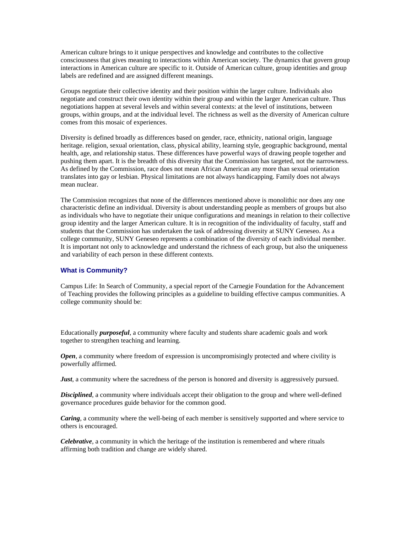American culture brings to it unique perspectives and knowledge and contributes to the collective consciousness that gives meaning to interactions within American society. The dynamics that govern group interactions in American culture are specific to it. Outside of American culture, group identities and group labels are redefined and are assigned different meanings.

Groups negotiate their collective identity and their position within the larger culture. Individuals also negotiate and construct their own identity within their group and within the larger American culture. Thus negotiations happen at several levels and within several contexts: at the level of institutions, between groups, within groups, and at the individual level. The richness as well as the diversity of American culture comes from this mosaic of experiences.

Diversity is defined broadly as differences based on gender, race, ethnicity, national origin, language heritage. religion, sexual orientation, class, physical ability, learning style, geographic background, mental health, age, and relationship status. These differences have powerful ways of drawing people together and pushing them apart. It is the breadth of this diversity that the Commission has targeted, not the narrowness. As defined by the Commission, race does not mean African American any more than sexual orientation translates into gay or lesbian. Physical limitations are not always handicapping. Family does not always mean nuclear.

The Commission recognizes that none of the differences mentioned above is monolithic nor does any one characteristic define an individual. Diversity is about understanding people as members of groups but also as individuals who have to negotiate their unique configurations and meanings in relation to their collective group identity and the larger American culture. It is in recognition of the individuality of faculty, staff and students that the Commission has undertaken the task of addressing diversity at SUNY Geneseo. As a college community, SUNY Geneseo represents a combination of the diversity of each individual member. It is important not only to acknowledge and understand the richness of each group, but also the uniqueness and variability of each person in these different contexts.

## **What is Community?**

Campus Life: In Search of Community, a special report of the Carnegie Foundation for the Advancement of Teaching provides the following principles as a guideline to building effective campus communities. A college community should be:

Educationally *purposeful*, a community where faculty and students share academic goals and work together to strengthen teaching and learning.

*Open*, a community where freedom of expression is uncompromisingly protected and where civility is powerfully affirmed.

*Just*, a community where the sacredness of the person is honored and diversity is aggressively pursued.

*Disciplined*, a community where individuals accept their obligation to the group and where well-defined governance procedures guide behavior for the common good.

*Caring*, a community where the well-being of each member is sensitively supported and where service to others is encouraged.

*Celebrative*, a community in which the heritage of the institution is remembered and where rituals affirming both tradition and change are widely shared.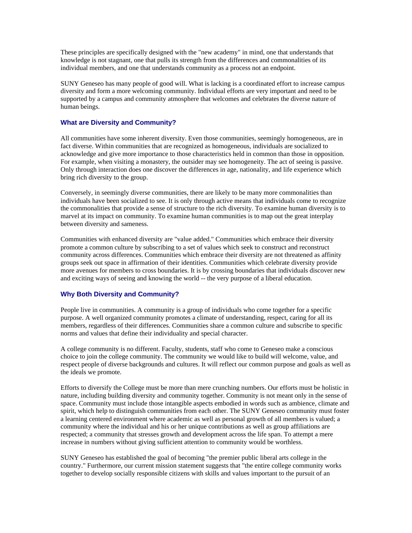These principles are specifically designed with the "new academy" in mind, one that understands that knowledge is not stagnant, one that pulls its strength from the differences and commonalities of its individual members, and one that understands community as a process not an endpoint.

SUNY Geneseo has many people of good will. What is lacking is a coordinated effort to increase campus diversity and form a more welcoming community. Individual efforts are very important and need to be supported by a campus and community atmosphere that welcomes and celebrates the diverse nature of human beings.

# **What are Diversity and Community?**

All communities have some inherent diversity. Even those communities, seemingly homogeneous, are in fact diverse. Within communities that are recognized as homogeneous, individuals are socialized to acknowledge and give more importance to those characteristics held in common than those in opposition. For example, when visiting a monastery, the outsider may see homogeneity. The act of seeing is passive. Only through interaction does one discover the differences in age, nationality, and life experience which bring rich diversity to the group.

Conversely, in seemingly diverse communities, there are likely to be many more commonalities than individuals have been socialized to see. It is only through active means that individuals come to recognize the commonalities that provide a sense of structure to the rich diversity. To examine human diversity is to marvel at its impact on community. To examine human communities is to map out the great interplay between diversity and sameness.

Communities with enhanced diversity are "value added." Communities which embrace their diversity promote a common culture by subscribing to a set of values which seek to construct and reconstruct community across differences. Communities which embrace their diversity are not threatened as affinity groups seek out space in affirmation of their identities. Communities which celebrate diversity provide more avenues for members to cross boundaries. It is by crossing boundaries that individuals discover new and exciting ways of seeing and knowing the world -- the very purpose of a liberal education.

# **Why Both Diversity and Community?**

People live in communities. A community is a group of individuals who come together for a specific purpose. A well organized community promotes a climate of understanding, respect, caring for all its members, regardless of their differences. Communities share a common culture and subscribe to specific norms and values that define their individuality and special character.

A college community is no different. Faculty, students, staff who come to Geneseo make a conscious choice to join the college community. The community we would like to build will welcome, value, and respect people of diverse backgrounds and cultures. It will reflect our common purpose and goals as well as the ideals we promote.

Efforts to diversify the College must be more than mere crunching numbers. Our efforts must be holistic in nature, including building diversity and community together. Community is not meant only in the sense of space. Community must include those intangible aspects embodied in words such as ambience, climate and spirit, which help to distinguish communities from each other. The SUNY Geneseo community must foster a learning centered environment where academic as well as personal growth of all members is valued; a community where the individual and his or her unique contributions as well as group affiliations are respected; a community that stresses growth and development across the life span. To attempt a mere increase in numbers without giving sufficient attention to community would be worthless.

SUNY Geneseo has established the goal of becoming "the premier public liberal arts college in the country." Furthermore, our current mission statement suggests that "the entire college community works together to develop socially responsible citizens with skills and values important to the pursuit of an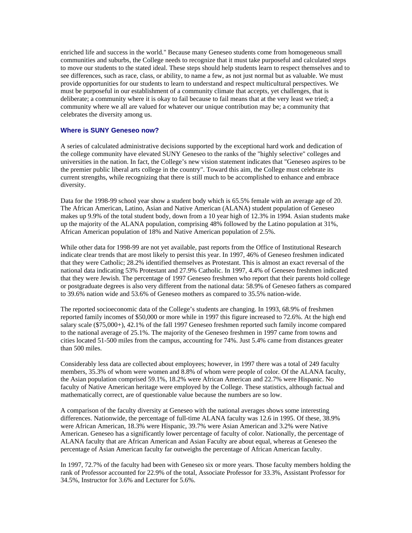enriched life and success in the world." Because many Geneseo students come from homogeneous small communities and suburbs, the College needs to recognize that it must take purposeful and calculated steps to move our students to the stated ideal. These steps should help students learn to respect themselves and to see differences, such as race, class, or ability, to name a few, as not just normal but as valuable. We must provide opportunities for our students to learn to understand and respect multicultural perspectives. We must be purposeful in our establishment of a community climate that accepts, yet challenges, that is deliberate; a community where it is okay to fail because to fail means that at the very least we tried; a community where we all are valued for whatever our unique contribution may be; a community that celebrates the diversity among us.

# **Where is SUNY Geneseo now?**

A series of calculated administrative decisions supported by the exceptional hard work and dedication of the college community have elevated SUNY Geneseo to the ranks of the "highly selective" colleges and universities in the nation. In fact, the College's new vision statement indicates that "Geneseo aspires to be the premier public liberal arts college in the country". Toward this aim, the College must celebrate its current strengths, while recognizing that there is still much to be accomplished to enhance and embrace diversity.

Data for the 1998-99 school year show a student body which is 65.5% female with an average age of 20. The African American, Latino, Asian and Native American (ALANA) student population of Geneseo makes up 9.9% of the total student body, down from a 10 year high of 12.3% in 1994. Asian students make up the majority of the ALANA population, comprising 48% followed by the Latino population at 31%, African American population of 18% and Native American population of 2.5%.

While other data for 1998-99 are not yet available, past reports from the Office of Institutional Research indicate clear trends that are most likely to persist this year. In 1997, 46% of Geneseo freshmen indicated that they were Catholic; 28.2% identified themselves as Protestant. This is almost an exact reversal of the national data indicating 53% Protestant and 27.9% Catholic. In 1997, 4.4% of Geneseo freshmen indicated that they were Jewish. The percentage of 1997 Geneseo freshmen who report that their parents hold college or postgraduate degrees is also very different from the national data: 58.9% of Geneseo fathers as compared to 39.6% nation wide and 53.6% of Geneseo mothers as compared to 35.5% nation-wide.

The reported socioeconomic data of the College's students are changing. In 1993, 68.9% of freshmen reported family incomes of \$50,000 or more while in 1997 this figure increased to 72.6%. At the high end salary scale (\$75,000+), 42.1% of the fall 1997 Geneseo freshmen reported such family income compared to the national average of 25.1%. The majority of the Geneseo freshmen in 1997 came from towns and cities located 51-500 miles from the campus, accounting for 74%. Just 5.4% came from distances greater than 500 miles.

Considerably less data are collected about employees; however, in 1997 there was a total of 249 faculty members, 35.3% of whom were women and 8.8% of whom were people of color. Of the ALANA faculty, the Asian population comprised 59.1%, 18.2% were African American and 22.7% were Hispanic. No faculty of Native American heritage were employed by the College. These statistics, although factual and mathematically correct, are of questionable value because the numbers are so low.

A comparison of the faculty diversity at Geneseo with the national averages shows some interesting differences. Nationwide, the percentage of full-time ALANA faculty was 12.6 in 1995. Of these, 38.9% were African American, 18.3% were Hispanic, 39.7% were Asian American and 3.2% were Native American. Geneseo has a significantly lower percentage of faculty of color. Nationally, the percentage of ALANA faculty that are African American and Asian Faculty are about equal, whereas at Geneseo the percentage of Asian American faculty far outweighs the percentage of African American faculty.

In 1997, 72.7% of the faculty had been with Geneseo six or more years. Those faculty members holding the rank of Professor accounted for 22.9% of the total, Associate Professor for 33.3%, Assistant Professor for 34.5%, Instructor for 3.6% and Lecturer for 5.6%.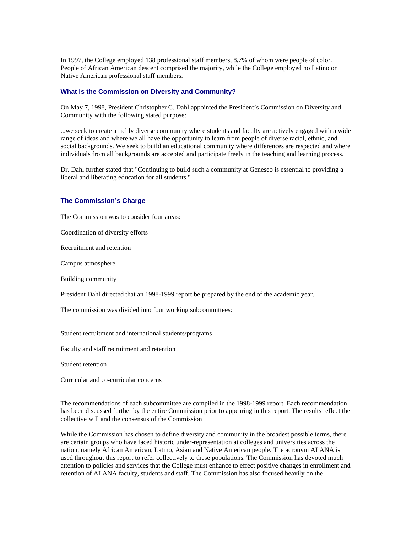In 1997, the College employed 138 professional staff members, 8.7% of whom were people of color. People of African American descent comprised the majority, while the College employed no Latino or Native American professional staff members.

# **What is the Commission on Diversity and Community?**

On May 7, 1998, President Christopher C. Dahl appointed the President's Commission on Diversity and Community with the following stated purpose:

...we seek to create a richly diverse community where students and faculty are actively engaged with a wide range of ideas and where we all have the opportunity to learn from people of diverse racial, ethnic, and social backgrounds. We seek to build an educational community where differences are respected and where individuals from all backgrounds are accepted and participate freely in the teaching and learning process.

Dr. Dahl further stated that "Continuing to build such a community at Geneseo is essential to providing a liberal and liberating education for all students."

#### **The Commission's Charge**

The Commission was to consider four areas:

Coordination of diversity efforts

Recruitment and retention

Campus atmosphere

Building community

President Dahl directed that an 1998-1999 report be prepared by the end of the academic year.

The commission was divided into four working subcommittees:

Student recruitment and international students/programs

Faculty and staff recruitment and retention

Student retention

Curricular and co-curricular concerns

The recommendations of each subcommittee are compiled in the 1998-1999 report. Each recommendation has been discussed further by the entire Commission prior to appearing in this report. The results reflect the collective will and the consensus of the Commission

While the Commission has chosen to define diversity and community in the broadest possible terms, there are certain groups who have faced historic under-representation at colleges and universities across the nation, namely African American, Latino, Asian and Native American people. The acronym ALANA is used throughout this report to refer collectively to these populations. The Commission has devoted much attention to policies and services that the College must enhance to effect positive changes in enrollment and retention of ALANA faculty, students and staff. The Commission has also focused heavily on the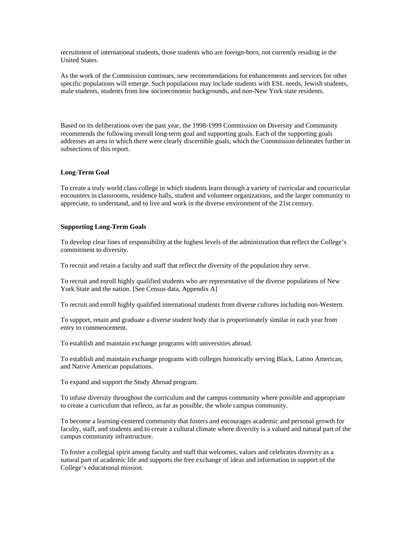recruitment of international students, those students who are foreign-born, not currently residing in the United States.

As the work of the Commission continues, new recommendations for enhancements and services for other specific populations will emerge. Such populations may include students with ESL needs, Jewish students, male students, students from low socioeconomic backgrounds, and non-New York state residents.

Based on its deliberations over the past year, the 1998-1999 Commission on Diversity and Community recommends the following overall long-term goal and supporting goals. Each of the supporting goals addresses an area in which there were clearly discernible goals, which the Commission delineates further in subsections of this report.

# **Long-Term Goal**

To create a truly world class college in which students learn through a variety of curricular and cocurricular encounters in classrooms, residence halls, student and volunteer organizations, and the larger community to appreciate, to understand, and to live and work in the diverse environment of the 21st century.

#### **Supporting Long-Term Goals**

To develop clear lines of responsibility at the highest levels of the administration that reflect the College's commitment to diversity.

To recruit and retain a faculty and staff that reflect the diversity of the population they serve.

To recruit and enroll highly qualified students who are representative of the diverse populations of New York State and the nation. [See Census data, Appendix A]

To recruit and enroll highly qualified international students from diverse cultures including non-Western.

To support, retain and graduate a diverse student body that is proportionately similar in each year from entry to commencement.

To establish and maintain exchange programs with universities abroad.

To establish and maintain exchange programs with colleges historically serving Black, Latino American, and Native American populations.

To expand and support the Study Abroad program.

To infuse diversity throughout the curriculum and the campus community where possible and appropriate to create a curriculum that reflects, as far as possible, the whole campus community.

To become a learning-centered community that fosters and encourages academic and personal growth for faculty, staff, and students and to create a cultural climate where diversity is a valued and natural part of the campus community infrastructure.

To foster a collegial spirit among faculty and staff that welcomes, values and celebrates diversity as a natural part of academic life and supports the free exchange of ideas and information in support of the College's educational mission.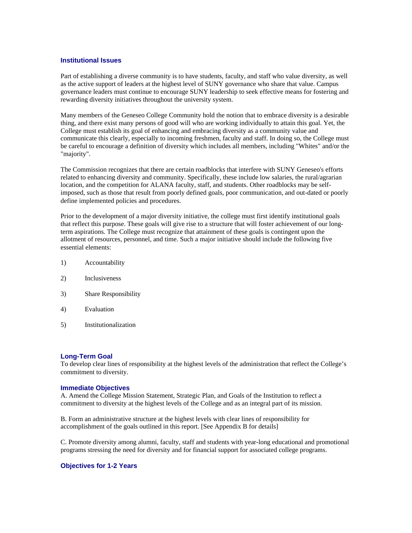#### **Institutional Issues**

Part of establishing a diverse community is to have students, faculty, and staff who value diversity, as well as the active support of leaders at the highest level of SUNY governance who share that value. Campus governance leaders must continue to encourage SUNY leadership to seek effective means for fostering and rewarding diversity initiatives throughout the university system.

Many members of the Geneseo College Community hold the notion that to embrace diversity is a desirable thing, and there exist many persons of good will who are working individually to attain this goal. Yet, the College must establish its goal of enhancing and embracing diversity as a community value and communicate this clearly, especially to incoming freshmen, faculty and staff. In doing so, the College must be careful to encourage a definition of diversity which includes all members, including "Whites" and/or the "majority".

The Commission recognizes that there are certain roadblocks that interfere with SUNY Geneseo's efforts related to enhancing diversity and community. Specifically, these include low salaries, the rural/agrarian location, and the competition for ALANA faculty, staff, and students. Other roadblocks may be selfimposed, such as those that result from poorly defined goals, poor communication, and out-dated or poorly define implemented policies and procedures.

Prior to the development of a major diversity initiative, the college must first identify institutional goals that reflect this purpose. These goals will give rise to a structure that will foster achievement of our longterm aspirations. The College must recognize that attainment of these goals is contingent upon the allotment of resources, personnel, and time. Such a major initiative should include the following five essential elements:

- 1) Accountability
- 2) Inclusiveness
- 3) Share Responsibility
- 4) Evaluation
- 5) Institutionalization

#### **Long-Term Goal**

To develop clear lines of responsibility at the highest levels of the administration that reflect the College's commitment to diversity.

#### **Immediate Objectives**

A. Amend the College Mission Statement, Strategic Plan, and Goals of the Institution to reflect a commitment to diversity at the highest levels of the College and as an integral part of its mission.

B. Form an administrative structure at the highest levels with clear lines of responsibility for accomplishment of the goals outlined in this report. [See Appendix B for details]

C. Promote diversity among alumni, faculty, staff and students with year-long educational and promotional programs stressing the need for diversity and for financial support for associated college programs.

# **Objectives for 1-2 Years**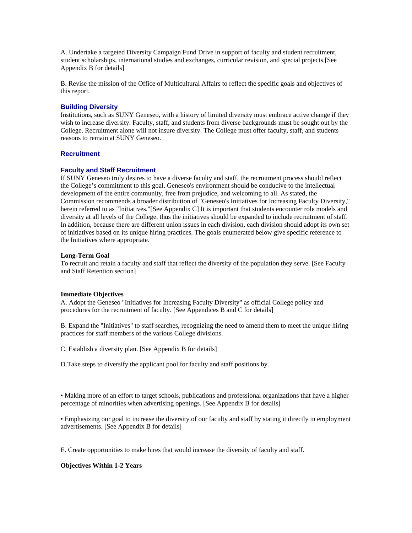A. Undertake a targeted Diversity Campaign Fund Drive in support of faculty and student recruitment, student scholarships, international studies and exchanges, curricular revision, and special projects.[See Appendix B for details]

B. Revise the mission of the Office of Multicultural Affairs to reflect the specific goals and objectives of this report.

# **Building Diversity**

Institutions, such as SUNY Geneseo, with a history of limited diversity must embrace active change if they wish to increase diversity. Faculty, staff, and students from diverse backgrounds must be sought out by the College. Recruitment alone will not insure diversity. The College must offer faculty, staff, and students reasons to remain at SUNY Geneseo.

# **Recruitment**

## **Faculty and Staff Recruitment**

If SUNY Geneseo truly desires to have a diverse faculty and staff, the recruitment process should reflect the College's commitment to this goal. Geneseo's environment should be conducive to the intellectual development of the entire community, free from prejudice, and welcoming to all. As stated, the Commission recommends a broader distribution of "Geneseo's Initiatives for Increasing Faculty Diversity," herein referred to as "Initiatives."[See Appendix C] It is important that students encounter role models and diversity at all levels of the College, thus the initiatives should be expanded to include recruitment of staff. In addition, because there are different union issues in each division, each division should adopt its own set of initiatives based on its unique hiring practices. The goals enumerated below give specific reference to the Initiatives where appropriate.

## **Long-Term Goal**

To recruit and retain a faculty and staff that reflect the diversity of the population they serve. [See Faculty and Staff Retention section]

## **Immediate Objectives**

A. Adopt the Geneseo "Initiatives for Increasing Faculty Diversity" as official College policy and procedures for the recruitment of faculty. [See Appendices B and C for details]

B. Expand the "Initiatives" to staff searches, recognizing the need to amend them to meet the unique hiring practices for staff members of the various College divisions.

C. Establish a diversity plan. [See Appendix B for details]

D.Take steps to diversify the applicant pool for faculty and staff positions by.

• Making more of an effort to target schools, publications and professional organizations that have a higher percentage of minorities when advertising openings. [See Appendix B for details]

• Emphasizing our goal to increase the diversity of our faculty and staff by stating it directly in employment advertisements. [See Appendix B for details]

E. Create opportunities to make hires that would increase the diversity of faculty and staff.

# **Objectives Within 1-2 Years**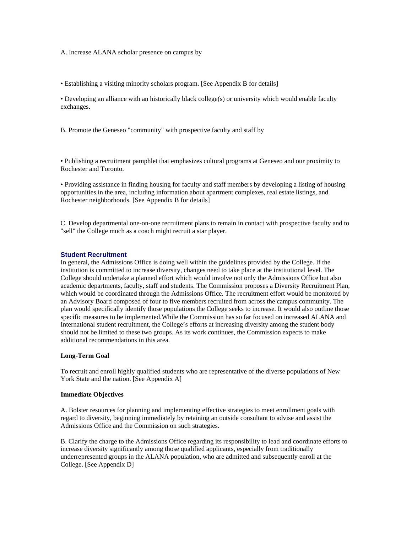A. Increase ALANA scholar presence on campus by

• Establishing a visiting minority scholars program. [See Appendix B for details]

• Developing an alliance with an historically black college(s) or university which would enable faculty exchanges.

B. Promote the Geneseo "community" with prospective faculty and staff by

• Publishing a recruitment pamphlet that emphasizes cultural programs at Geneseo and our proximity to Rochester and Toronto.

• Providing assistance in finding housing for faculty and staff members by developing a listing of housing opportunities in the area, including information about apartment complexes, real estate listings, and Rochester neighborhoods. [See Appendix B for details]

C. Develop departmental one-on-one recruitment plans to remain in contact with prospective faculty and to "sell" the College much as a coach might recruit a star player.

#### **Student Recruitment**

In general, the Admissions Office is doing well within the guidelines provided by the College. If the institution is committed to increase diversity, changes need to take place at the institutional level. The College should undertake a planned effort which would involve not only the Admissions Office but also academic departments, faculty, staff and students. The Commission proposes a Diversity Recruitment Plan, which would be coordinated through the Admissions Office. The recruitment effort would be monitored by an Advisory Board composed of four to five members recruited from across the campus community. The plan would specifically identify those populations the College seeks to increase. It would also outline those specific measures to be implemented.While the Commission has so far focused on increased ALANA and International student recruitment, the College's efforts at increasing diversity among the student body should not be limited to these two groups. As its work continues, the Commission expects to make additional recommendations in this area.

## **Long-Term Goal**

To recruit and enroll highly qualified students who are representative of the diverse populations of New York State and the nation. [See Appendix A]

#### **Immediate Objectives**

A. Bolster resources for planning and implementing effective strategies to meet enrollment goals with regard to diversity, beginning immediately by retaining an outside consultant to advise and assist the Admissions Office and the Commission on such strategies.

B. Clarify the charge to the Admissions Office regarding its responsibility to lead and coordinate efforts to increase diversity significantly among those qualified applicants, especially from traditionally underrepresented groups in the ALANA population, who are admitted and subsequently enroll at the College. [See Appendix D]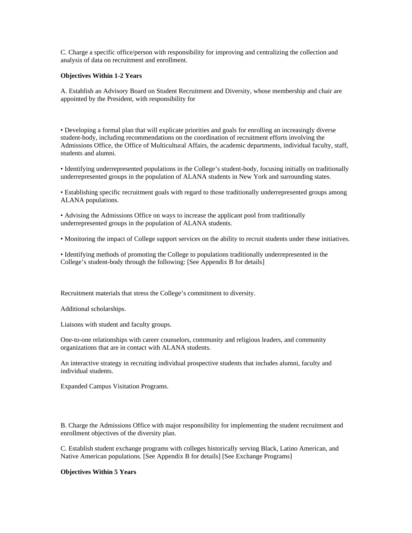C. Charge a specific office/person with responsibility for improving and centralizing the collection and analysis of data on recruitment and enrollment.

#### **Objectives Within 1-2 Years**

A. Establish an Advisory Board on Student Recruitment and Diversity, whose membership and chair are appointed by the President, with responsibility for

• Developing a formal plan that will explicate priorities and goals for enrolling an increasingly diverse student-body, including recommendations on the coordination of recruitment efforts involving the Admissions Office, the Office of Multicultural Affairs, the academic departments, individual faculty, staff, students and alumni.

• Identifying underrepresented populations in the College's student-body, focusing initially on traditionally underrepresented groups in the population of ALANA students in New York and surrounding states.

• Establishing specific recruitment goals with regard to those traditionally underrepresented groups among ALANA populations.

• Advising the Admissions Office on ways to increase the applicant pool from traditionally underrepresented groups in the population of ALANA students.

• Monitoring the impact of College support services on the ability to recruit students under these initiatives.

• Identifying methods of promoting the College to populations traditionally underrepresented in the College's student-body through the following: [See Appendix B for details]

Recruitment materials that stress the College's commitment to diversity.

Additional scholarships.

Liaisons with student and faculty groups.

One-to-one relationships with career counselors, community and religious leaders, and community organizations that are in contact with ALANA students.

An interactive strategy in recruiting individual prospective students that includes alumni, faculty and individual students.

Expanded Campus Visitation Programs.

B. Charge the Admissions Office with major responsibility for implementing the student recruitment and enrollment objectives of the diversity plan.

C. Establish student exchange programs with colleges historically serving Black, Latino American, and Native American populations. [See Appendix B for details] [See Exchange Programs]

#### **Objectives Within 5 Years**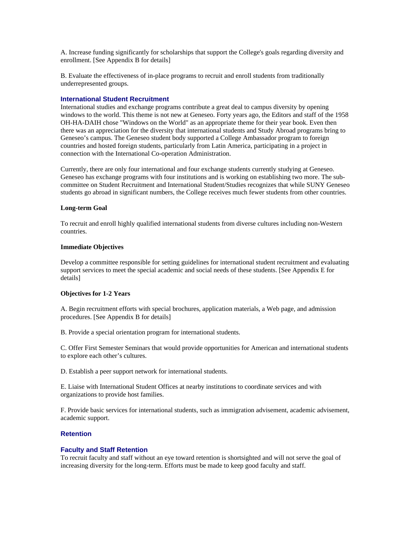A. Increase funding significantly for scholarships that support the College's goals regarding diversity and enrollment. [See Appendix B for details]

B. Evaluate the effectiveness of in-place programs to recruit and enroll students from traditionally underrepresented groups.

# **International Student Recruitment**

International studies and exchange programs contribute a great deal to campus diversity by opening windows to the world. This theme is not new at Geneseo. Forty years ago, the Editors and staff of the 1958 OH-HA-DAIH chose "Windows on the World" as an appropriate theme for their year book. Even then there was an appreciation for the diversity that international students and Study Abroad programs bring to Geneseo's campus. The Geneseo student body supported a College Ambassador program to foreign countries and hosted foreign students, particularly from Latin America, participating in a project in connection with the International Co-operation Administration.

Currently, there are only four international and four exchange students currently studying at Geneseo. Geneseo has exchange programs with four institutions and is working on establishing two more. The subcommittee on Student Recruitment and International Student/Studies recognizes that while SUNY Geneseo students go abroad in significant numbers, the College receives much fewer students from other countries.

## **Long-term Goal**

To recruit and enroll highly qualified international students from diverse cultures including non-Western countries.

## **Immediate Objectives**

Develop a committee responsible for setting guidelines for international student recruitment and evaluating support services to meet the special academic and social needs of these students. [See Appendix E for details]

## **Objectives for 1-2 Years**

A. Begin recruitment efforts with special brochures, application materials, a Web page, and admission procedures. [See Appendix B for details]

B. Provide a special orientation program for international students.

C. Offer First Semester Seminars that would provide opportunities for American and international students to explore each other's cultures.

D. Establish a peer support network for international students.

E. Liaise with International Student Offices at nearby institutions to coordinate services and with organizations to provide host families.

F. Provide basic services for international students, such as immigration advisement, academic advisement, academic support.

## **Retention**

## **Faculty and Staff Retention**

To recruit faculty and staff without an eye toward retention is shortsighted and will not serve the goal of increasing diversity for the long-term. Efforts must be made to keep good faculty and staff.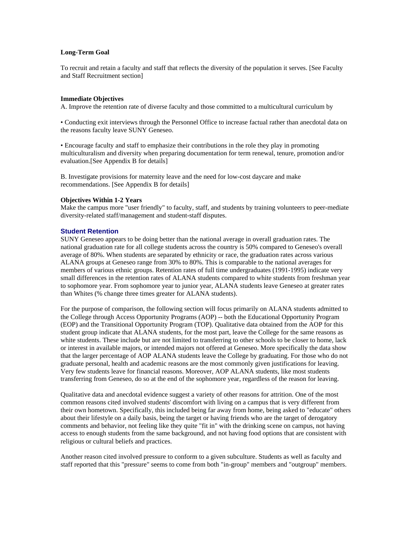## **Long-Term Goal**

To recruit and retain a faculty and staff that reflects the diversity of the population it serves. [See Faculty and Staff Recruitment section]

#### **Immediate Objectives**

A. Improve the retention rate of diverse faculty and those committed to a multicultural curriculum by

• Conducting exit interviews through the Personnel Office to increase factual rather than anecdotal data on the reasons faculty leave SUNY Geneseo.

• Encourage faculty and staff to emphasize their contributions in the role they play in promoting multiculturalism and diversity when preparing documentation for term renewal, tenure, promotion and/or evaluation.[See Appendix B for details]

B. Investigate provisions for maternity leave and the need for low-cost daycare and make recommendations. [See Appendix B for details]

#### **Objectives Within 1-2 Years**

Make the campus more "user friendly" to faculty, staff, and students by training volunteers to peer-mediate diversity-related staff/management and student-staff disputes.

## **Student Retention**

SUNY Geneseo appears to be doing better than the national average in overall graduation rates. The national graduation rate for all college students across the country is 50% compared to Geneseo's overall average of 80%. When students are separated by ethnicity or race, the graduation rates across various ALANA groups at Geneseo range from 30% to 80%. This is comparable to the national averages for members of various ethnic groups. Retention rates of full time undergraduates (1991-1995) indicate very small differences in the retention rates of ALANA students compared to white students from freshman year to sophomore year. From sophomore year to junior year, ALANA students leave Geneseo at greater rates than Whites (% change three times greater for ALANA students).

For the purpose of comparison, the following section will focus primarily on ALANA students admitted to the College through Access Opportunity Programs (AOP) -- both the Educational Opportunity Program (EOP) and the Transitional Opportunity Program (TOP). Qualitative data obtained from the AOP for this student group indicate that ALANA students, for the most part, leave the College for the same reasons as white students. These include but are not limited to transferring to other schools to be closer to home, lack or interest in available majors, or intended majors not offered at Geneseo. More specifically the data show that the larger percentage of AOP ALANA students leave the College by graduating. For those who do not graduate personal, health and academic reasons are the most commonly given justifications for leaving. Very few students leave for financial reasons. Moreover, AOP ALANA students, like most students transferring from Geneseo, do so at the end of the sophomore year, regardless of the reason for leaving.

Qualitative data and anecdotal evidence suggest a variety of other reasons for attrition. One of the most common reasons cited involved students' discomfort with living on a campus that is very different from their own hometown. Specifically, this included being far away from home, being asked to "educate" others about their lifestyle on a daily basis, being the target or having friends who are the target of derogatory comments and behavior, not feeling like they quite "fit in" with the drinking scene on campus, not having access to enough students from the same background, and not having food options that are consistent with religious or cultural beliefs and practices.

Another reason cited involved pressure to conform to a given subculture. Students as well as faculty and staff reported that this "pressure" seems to come from both "in-group" members and "outgroup" members.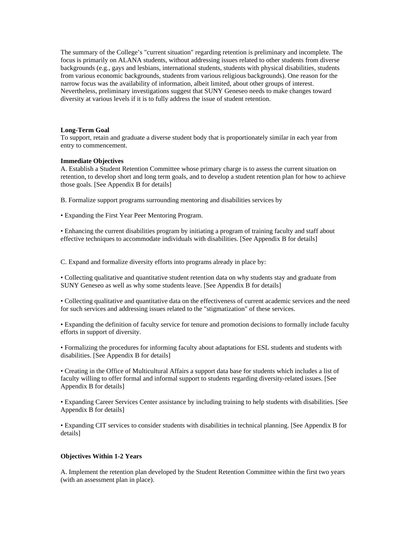The summary of the College's "current situation" regarding retention is preliminary and incomplete. The focus is primarily on ALANA students, without addressing issues related to other students from diverse backgrounds (e.g., gays and lesbians, international students, students with physical disabilities, students from various economic backgrounds, students from various religious backgrounds). One reason for the narrow focus was the availability of information, albeit limited, about other groups of interest. Nevertheless, preliminary investigations suggest that SUNY Geneseo needs to make changes toward diversity at various levels if it is to fully address the issue of student retention.

# **Long-Term Goal**

To support, retain and graduate a diverse student body that is proportionately similar in each year from entry to commencement.

# **Immediate Objectives**

A. Establish a Student Retention Committee whose primary charge is to assess the current situation on retention, to develop short and long term goals, and to develop a student retention plan for how to achieve those goals. [See Appendix B for details]

B. Formalize support programs surrounding mentoring and disabilities services by

• Expanding the First Year Peer Mentoring Program.

• Enhancing the current disabilities program by initiating a program of training faculty and staff about effective techniques to accommodate individuals with disabilities. [See Appendix B for details]

C. Expand and formalize diversity efforts into programs already in place by:

• Collecting qualitative and quantitative student retention data on why students stay and graduate from SUNY Geneseo as well as why some students leave. [See Appendix B for details]

• Collecting qualitative and quantitative data on the effectiveness of current academic services and the need for such services and addressing issues related to the "stigmatization" of these services.

• Expanding the definition of faculty service for tenure and promotion decisions to formally include faculty efforts in support of diversity.

• Formalizing the procedures for informing faculty about adaptations for ESL students and students with disabilities. [See Appendix B for details]

• Creating in the Office of Multicultural Affairs a support data base for students which includes a list of faculty willing to offer formal and informal support to students regarding diversity-related issues. [See Appendix B for details]

• Expanding Career Services Center assistance by including training to help students with disabilities. [See Appendix B for details]

• Expanding CIT services to consider students with disabilities in technical planning. [See Appendix B for details]

## **Objectives Within 1-2 Years**

A. Implement the retention plan developed by the Student Retention Committee within the first two years (with an assessment plan in place).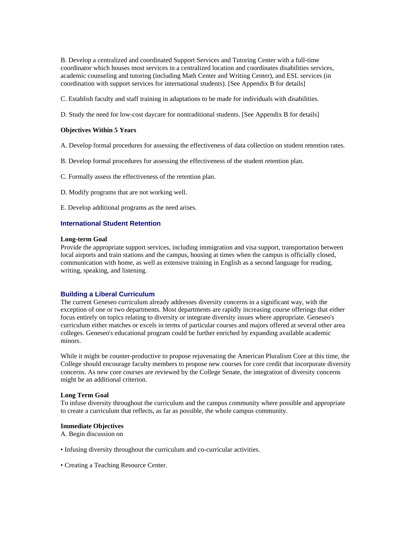B. Develop a centralized and coordinated Support Services and Tutoring Center with a full-time coordinator which houses most services in a centralized location and coordinates disabilities services, academic counseling and tutoring (including Math Center and Writing Center), and ESL services (in coordination with support services for international students). [See Appendix B for details]

C. Establish faculty and staff training in adaptations to be made for individuals with disabilities.

D. Study the need for low-cost daycare for nontraditional students. [See Appendix B for details]

# **Objectives Within 5 Years**

- A. Develop formal procedures for assessing the effectiveness of data collection on student retention rates.
- B. Develop formal procedures for assessing the effectiveness of the student retention plan.
- C. Formally assess the effectiveness of the retention plan.
- D. Modify programs that are not working well.
- E. Develop additional programs as the need arises.

# **International Student Retention**

#### **Long-term Goal**

Provide the appropriate support services, including immigration and visa support, transportation between local airports and train stations and the campus, housing at times when the campus is officially closed, communication with home, as well as extensive training in English as a second language for reading, writing, speaking, and listening.

#### **Building a Liberal Curriculum**

The current Geneseo curriculum already addresses diversity concerns in a significant way, with the exception of one or two departments. Most departments are rapidly increasing course offerings that either focus entirely on topics relating to diversity or integrate diversity issues where appropriate. Geneseo's curriculum either matches or excels in terms of particular courses and majors offered at several other area colleges. Geneseo's educational program could be further enriched by expanding available academic minors.

While it might be counter-productive to propose rejuvenating the American Pluralism Core at this time, the College should encourage faculty members to propose new courses for core credit that incorporate diversity concerns. As new core courses are reviewed by the College Senate, the integration of diversity concerns might be an additional criterion.

#### **Long Term Goal**

To infuse diversity throughout the curriculum and the campus community where possible and appropriate to create a curriculum that reflects, as far as possible, the whole campus community.

#### **Immediate Objectives**

A. Begin discussion on

- Infusing diversity throughout the curriculum and co-curricular activities.
- Creating a Teaching Resource Center.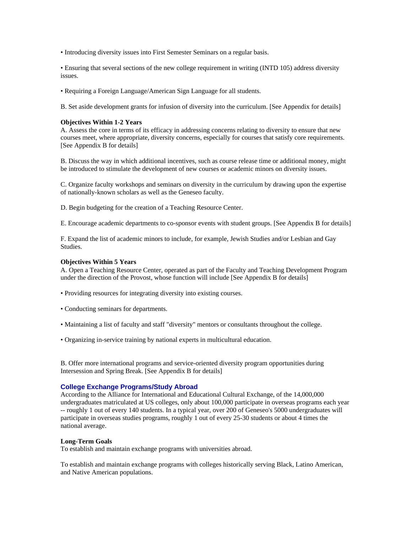• Introducing diversity issues into First Semester Seminars on a regular basis.

• Ensuring that several sections of the new college requirement in writing (INTD 105) address diversity issues.

• Requiring a Foreign Language/American Sign Language for all students.

B. Set aside development grants for infusion of diversity into the curriculum. [See Appendix for details]

#### **Objectives Within 1-2 Years**

A. Assess the core in terms of its efficacy in addressing concerns relating to diversity to ensure that new courses meet, where appropriate, diversity concerns, especially for courses that satisfy core requirements. [See Appendix B for details]

B. Discuss the way in which additional incentives, such as course release time or additional money, might be introduced to stimulate the development of new courses or academic minors on diversity issues.

C. Organize faculty workshops and seminars on diversity in the curriculum by drawing upon the expertise of nationally-known scholars as well as the Geneseo faculty.

D. Begin budgeting for the creation of a Teaching Resource Center.

E. Encourage academic departments to co-sponsor events with student groups. [See Appendix B for details]

F. Expand the list of academic minors to include, for example, Jewish Studies and/or Lesbian and Gay Studies.

#### **Objectives Within 5 Years**

A. Open a Teaching Resource Center, operated as part of the Faculty and Teaching Development Program under the direction of the Provost, whose function will include [See Appendix B for details]

- Providing resources for integrating diversity into existing courses.
- Conducting seminars for departments.
- Maintaining a list of faculty and staff "diversity" mentors or consultants throughout the college.
- Organizing in-service training by national experts in multicultural education.

B. Offer more international programs and service-oriented diversity program opportunities during Intersession and Spring Break. [See Appendix B for details]

# **College Exchange Programs/Study Abroad**

According to the Alliance for International and Educational Cultural Exchange, of the 14,000,000 undergraduates matriculated at US colleges, only about 100,000 participate in overseas programs each year -- roughly 1 out of every 140 students. In a typical year, over 200 of Geneseo's 5000 undergraduates will participate in overseas studies programs, roughly 1 out of every 25-30 students or about 4 times the national average.

#### **Long-Term Goals**

To establish and maintain exchange programs with universities abroad.

To establish and maintain exchange programs with colleges historically serving Black, Latino American, and Native American populations.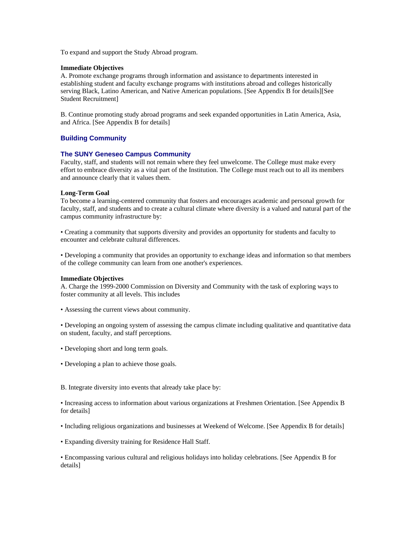To expand and support the Study Abroad program.

#### **Immediate Objectives**

A. Promote exchange programs through information and assistance to departments interested in establishing student and faculty exchange programs with institutions abroad and colleges historically serving Black, Latino American, and Native American populations. [See Appendix B for details][See Student Recruitment]

B. Continue promoting study abroad programs and seek expanded opportunities in Latin America, Asia, and Africa. [See Appendix B for details]

# **Building Community**

## **The SUNY Geneseo Campus Community**

Faculty, staff, and students will not remain where they feel unwelcome. The College must make every effort to embrace diversity as a vital part of the Institution. The College must reach out to all its members and announce clearly that it values them.

## **Long-Term Goal**

To become a learning-centered community that fosters and encourages academic and personal growth for faculty, staff, and students and to create a cultural climate where diversity is a valued and natural part of the campus community infrastructure by:

• Creating a community that supports diversity and provides an opportunity for students and faculty to encounter and celebrate cultural differences.

• Developing a community that provides an opportunity to exchange ideas and information so that members of the college community can learn from one another's experiences.

#### **Immediate Objectives**

A. Charge the 1999-2000 Commission on Diversity and Community with the task of exploring ways to foster community at all levels. This includes

• Assessing the current views about community.

• Developing an ongoing system of assessing the campus climate including qualitative and quantitative data on student, faculty, and staff perceptions.

- Developing short and long term goals.
- Developing a plan to achieve those goals.
- B. Integrate diversity into events that already take place by:

• Increasing access to information about various organizations at Freshmen Orientation. [See Appendix B for details]

- Including religious organizations and businesses at Weekend of Welcome. [See Appendix B for details]
- Expanding diversity training for Residence Hall Staff.

• Encompassing various cultural and religious holidays into holiday celebrations. [See Appendix B for details]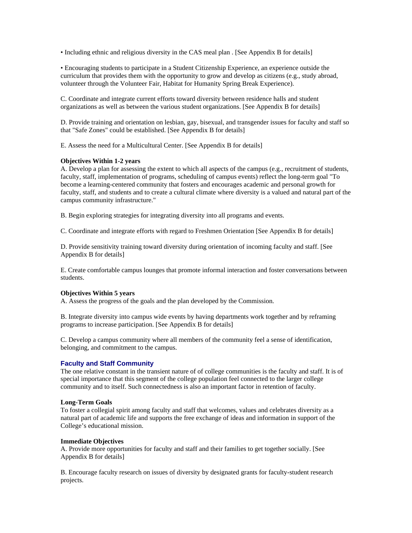• Including ethnic and religious diversity in the CAS meal plan . [See Appendix B for details]

• Encouraging students to participate in a Student Citizenship Experience, an experience outside the curriculum that provides them with the opportunity to grow and develop as citizens (e.g., study abroad, volunteer through the Volunteer Fair, Habitat for Humanity Spring Break Experience).

C. Coordinate and integrate current efforts toward diversity between residence halls and student organizations as well as between the various student organizations. [See Appendix B for details]

D. Provide training and orientation on lesbian, gay, bisexual, and transgender issues for faculty and staff so that "Safe Zones" could be established. [See Appendix B for details]

E. Assess the need for a Multicultural Center. [See Appendix B for details]

# **Objectives Within 1-2 years**

A. Develop a plan for assessing the extent to which all aspects of the campus (e.g., recruitment of students, faculty, staff, implementation of programs, scheduling of campus events) reflect the long-term goal "To become a learning-centered community that fosters and encourages academic and personal growth for faculty, staff, and students and to create a cultural climate where diversity is a valued and natural part of the campus community infrastructure."

B. Begin exploring strategies for integrating diversity into all programs and events.

C. Coordinate and integrate efforts with regard to Freshmen Orientation [See Appendix B for details]

D. Provide sensitivity training toward diversity during orientation of incoming faculty and staff. [See Appendix B for details]

E. Create comfortable campus lounges that promote informal interaction and foster conversations between students.

## **Objectives Within 5 years**

A. Assess the progress of the goals and the plan developed by the Commission.

B. Integrate diversity into campus wide events by having departments work together and by reframing programs to increase participation. [See Appendix B for details]

C. Develop a campus community where all members of the community feel a sense of identification, belonging, and commitment to the campus.

# **Faculty and Staff Community**

The one relative constant in the transient nature of of college communities is the faculty and staff. It is of special importance that this segment of the college population feel connected to the larger college community and to itself. Such connectedness is also an important factor in retention of faculty.

## **Long-Term Goals**

To foster a collegial spirit among faculty and staff that welcomes, values and celebrates diversity as a natural part of academic life and supports the free exchange of ideas and information in support of the College's educational mission.

# **Immediate Objectives**

A. Provide more opportunities for faculty and staff and their families to get together socially. [See Appendix B for details]

B. Encourage faculty research on issues of diversity by designated grants for faculty-student research projects.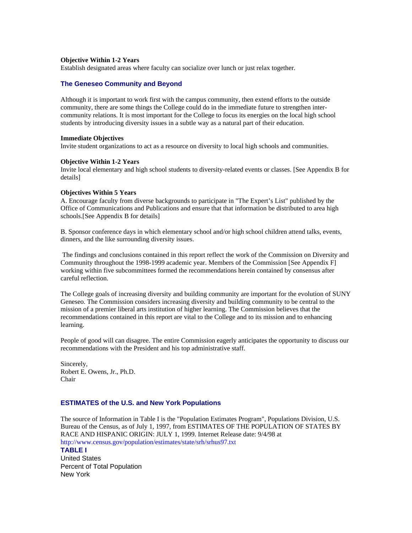## **Objective Within 1-2 Years**

Establish designated areas where faculty can socialize over lunch or just relax together.

# **The Geneseo Community and Beyond**

Although it is important to work first with the campus community, then extend efforts to the outside community, there are some things the College could do in the immediate future to strengthen intercommunity relations. It is most important for the College to focus its energies on the local high school students by introducing diversity issues in a subtle way as a natural part of their education.

#### **Immediate Objectives**

Invite student organizations to act as a resource on diversity to local high schools and communities.

#### **Objective Within 1-2 Years**

Invite local elementary and high school students to diversity-related events or classes. [See Appendix B for details]

# **Objectives Within 5 Years**

A. Encourage faculty from diverse backgrounds to participate in "The Expert's List" published by the Office of Communications and Publications and ensure that that information be distributed to area high schools.[See Appendix B for details]

B. Sponsor conference days in which elementary school and/or high school children attend talks, events, dinners, and the like surrounding diversity issues.

 The findings and conclusions contained in this report reflect the work of the Commission on Diversity and Community throughout the 1998-1999 academic year. Members of the Commission [See Appendix F] working within five subcommittees formed the recommendations herein contained by consensus after careful reflection.

The College goals of increasing diversity and building community are important for the evolution of SUNY Geneseo. The Commission considers increasing diversity and building community to be central to the mission of a premier liberal arts institution of higher learning. The Commission believes that the recommendations contained in this report are vital to the College and to its mission and to enhancing learning.

People of good will can disagree. The entire Commission eagerly anticipates the opportunity to discuss our recommendations with the President and his top administrative staff.

Sincerely, Robert E. Owens, Jr., Ph.D. Chair

## **ESTIMATES of the U.S. and New York Populations**

The source of Information in Table I is the "Population Estimates Program", Populations Division, U.S. Bureau of the Census, as of July 1, 1997, from ESTIMATES OF THE POPULATION OF STATES BY RACE AND HISPANIC ORIGIN: JULY 1, 1999. Internet Release date: 9/4/98 at http://www.census.gov/population/estimates/state/srh/srhus97.txt

#### **TABLE I**

United States Percent of Total Population New York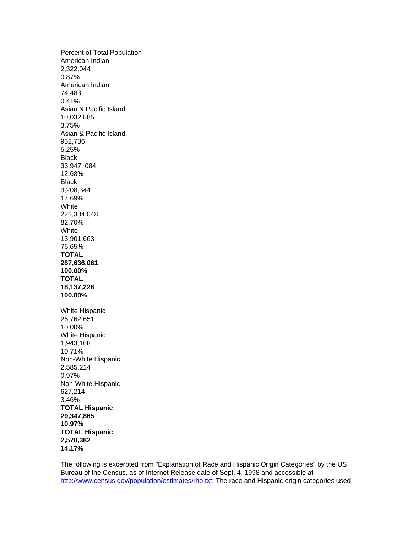Percent of Total Population American Indian 2,322,044 0.87% American Indian 74,483 0.41% Asian & Pacific Island. 10,032,885 3.75% Asian & Pacific Island. 952,736 5.25% Black 33,947, 084 12.68% Black 3,208,344 17.69% **White** 221,334,048 82.70% White 13,901,663 76.65% **TOTAL 267,636,061 100.00% TOTAL 18,137,226 100.00%** White Hispanic 26,762,651 10.00% White Hispanic 1,943,168 10.71% Non-White Hispanic 2,585,214 0.97% Non-White Hispanic 627,214 3.46% **TOTAL Hispanic 29,347,865 10.97% TOTAL Hispanic 2,570,382 14.17%**

The following is excerpted from "Explanation of Race and Hispanic Origin Categories" by the US Bureau of the Census, as of Internet Release date of Sept. 4, 1998 and accessible at http://www.census.gov/population/estimates/rho.txt: The race and Hispanic origin categories used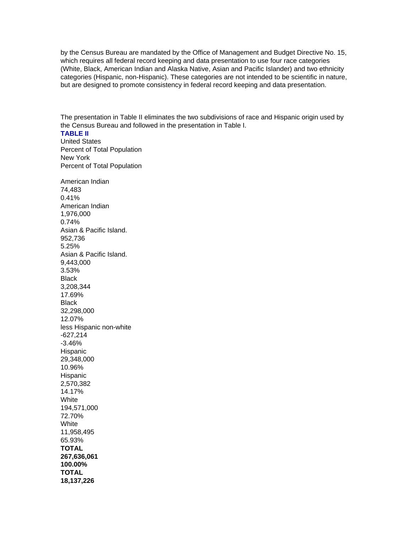by the Census Bureau are mandated by the Office of Management and Budget Directive No. 15, which requires all federal record keeping and data presentation to use four race categories (White, Black, American Indian and Alaska Native, Asian and Pacific Islander) and two ethnicity categories (Hispanic, non-Hispanic). These categories are not intended to be scientific in nature, but are designed to promote consistency in federal record keeping and data presentation.

The presentation in Table II eliminates the two subdivisions of race and Hispanic origin used by the Census Bureau and followed in the presentation in Table I.

# **TABLE II** United States Percent of Total Population New York Percent of Total Population

American Indian 74,483 0.41% American Indian 1,976,000 0.74% Asian & Pacific Island. 952,736 5.25% Asian & Pacific Island. 9,443,000 3.53% Black 3,208,344 17.69% Black 32,298,000 12.07% less Hispanic non-white -627,214 -3.46% Hispanic 29,348,000 10.96% Hispanic 2,570,382 14.17% White 194,571,000 72.70% White 11,958,495 65.93% **TOTAL 267,636,061 100.00% TOTAL 18,137,226**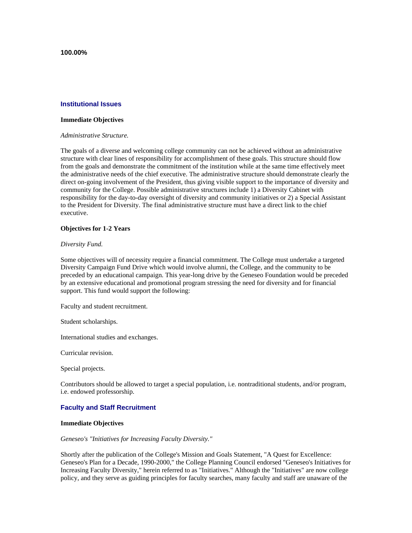**100.00%**

# **Institutional Issues**

#### **Immediate Objectives**

#### *Administrative Structure.*

The goals of a diverse and welcoming college community can not be achieved without an administrative structure with clear lines of responsibility for accomplishment of these goals. This structure should flow from the goals and demonstrate the commitment of the institution while at the same time effectively meet the administrative needs of the chief executive. The administrative structure should demonstrate clearly the direct on-going involvement of the President, thus giving visible support to the importance of diversity and community for the College. Possible administrative structures include 1) a Diversity Cabinet with responsibility for the day-to-day oversight of diversity and community initiatives or 2) a Special Assistant to the President for Diversity. The final administrative structure must have a direct link to the chief executive.

#### **Objectives for 1-2 Years**

#### *Diversity Fund.*

Some objectives will of necessity require a financial commitment. The College must undertake a targeted Diversity Campaign Fund Drive which would involve alumni, the College, and the community to be preceded by an educational campaign. This year-long drive by the Geneseo Foundation would be preceded by an extensive educational and promotional program stressing the need for diversity and for financial support. This fund would support the following:

Faculty and student recruitment.

Student scholarships.

International studies and exchanges.

Curricular revision.

Special projects.

Contributors should be allowed to target a special population, i.e. nontraditional students, and/or program, i.e. endowed professorship.

# **Faculty and Staff Recruitment**

#### **Immediate Objectives**

#### *Geneseo's "Initiatives for Increasing Faculty Diversity."*

Shortly after the publication of the College's Mission and Goals Statement, "A Quest for Excellence: Geneseo's Plan for a Decade, 1990-2000," the College Planning Council endorsed "Geneseo's Initiatives for Increasing Faculty Diversity," herein referred to as "Initiatives." Although the "Initiatives" are now college policy, and they serve as guiding principles for faculty searches, many faculty and staff are unaware of the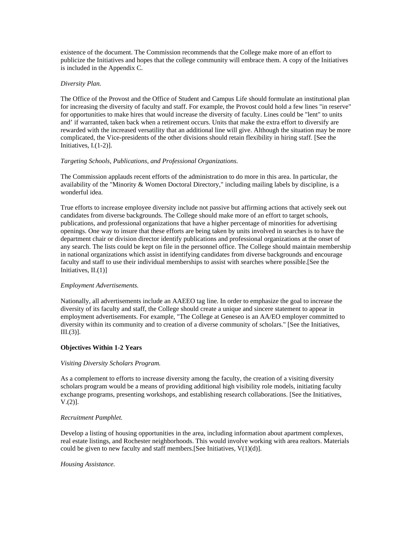existence of the document. The Commission recommends that the College make more of an effort to publicize the Initiatives and hopes that the college community will embrace them. A copy of the Initiatives is included in the Appendix C.

# *Diversity Plan.*

The Office of the Provost and the Office of Student and Campus Life should formulate an institutional plan for increasing the diversity of faculty and staff. For example, the Provost could hold a few lines "in reserve" for opportunities to make hires that would increase the diversity of faculty. Lines could be "lent" to units and' if warranted, taken back when a retirement occurs. Units that make the extra effort to diversify are rewarded with the increased versatility that an additional line will give. Although the situation may be more complicated, the Vice-presidents of the other divisions should retain flexibility in hiring staff. [See the Initiatives, I.(1-2)].

# *Targeting Schools, Publications, and Professional Organizations.*

The Commission applauds recent efforts of the administration to do more in this area. In particular, the availability of the "Minority & Women Doctoral Directory," including mailing labels by discipline, is a wonderful idea.

True efforts to increase employee diversity include not passive but affirming actions that actively seek out candidates from diverse backgrounds. The College should make more of an effort to target schools, publications, and professional organizations that have a higher percentage of minorities for advertising openings. One way to insure that these efforts are being taken by units involved in searches is to have the department chair or division director identify publications and professional organizations at the onset of any search. The lists could be kept on file in the personnel office. The College should maintain membership in national organizations which assist in identifying candidates from diverse backgrounds and encourage faculty and staff to use their individual memberships to assist with searches where possible.[See the Initiatives, II.(1)]

## *Employment Advertisements.*

Nationally, all advertisements include an AAEEO tag line. In order to emphasize the goal to increase the diversity of its faculty and staff, the College should create a unique and sincere statement to appear in employment advertisements. For example, "The College at Geneseo is an AA/EO employer committed to diversity within its community and to creation of a diverse community of scholars." [See the Initiatives, III.(3)].

## **Objectives Within 1-2 Years**

## *Visiting Diversity Scholars Program.*

As a complement to efforts to increase diversity among the faculty, the creation of a visiting diversity scholars program would be a means of providing additional high visibility role models, initiating faculty exchange programs, presenting workshops, and establishing research collaborations. [See the Initiatives,  $V.(2)$ ].

# *Recruitment Pamphlet.*

Develop a listing of housing opportunities in the area, including information about apartment complexes, real estate listings, and Rochester neighborhoods. This would involve working with area realtors. Materials could be given to new faculty and staff members. [See Initiatives,  $V(1)(d)$ ].

## *Housing Assistance.*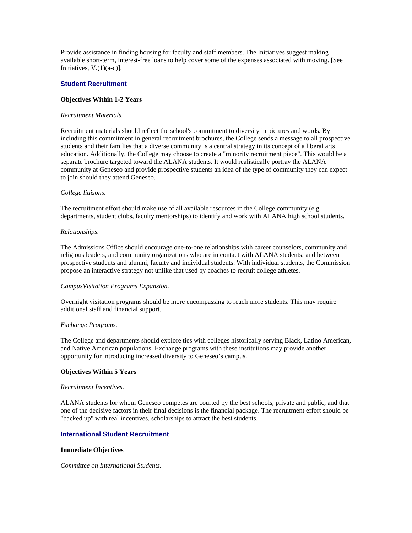Provide assistance in finding housing for faculty and staff members. The Initiatives suggest making available short-term, interest-free loans to help cover some of the expenses associated with moving. [See Initiatives,  $V(1)(a-c)$ ].

# **Student Recruitment**

## **Objectives Within 1-2 Years**

#### *Recruitment Materials.*

Recruitment materials should reflect the school's commitment to diversity in pictures and words. By including this commitment in general recruitment brochures, the College sends a message to all prospective students and their families that a diverse community is a central strategy in its concept of a liberal arts education. Additionally, the College may choose to create a "minority recruitment piece". This would be a separate brochure targeted toward the ALANA students. It would realistically portray the ALANA community at Geneseo and provide prospective students an idea of the type of community they can expect to join should they attend Geneseo.

# *College liaisons.*

The recruitment effort should make use of all available resources in the College community (e.g. departments, student clubs, faculty mentorships) to identify and work with ALANA high school students.

## *Relationships.*

The Admissions Office should encourage one-to-one relationships with career counselors, community and religious leaders, and community organizations who are in contact with ALANA students; and between prospective students and alumni, faculty and individual students. With individual students, the Commission propose an interactive strategy not unlike that used by coaches to recruit college athletes.

## *CampusVisitation Programs Expansion.*

Overnight visitation programs should be more encompassing to reach more students. This may require additional staff and financial support.

#### *Exchange Programs.*

The College and departments should explore ties with colleges historically serving Black, Latino American, and Native American populations. Exchange programs with these institutions may provide another opportunity for introducing increased diversity to Geneseo's campus.

## **Objectives Within 5 Years**

#### *Recruitment Incentives.*

ALANA students for whom Geneseo competes are courted by the best schools, private and public, and that one of the decisive factors in their final decisions is the financial package. The recruitment effort should be "backed up" with real incentives, scholarships to attract the best students.

## **International Student Recruitment**

## **Immediate Objectives**

*Committee on International Students.*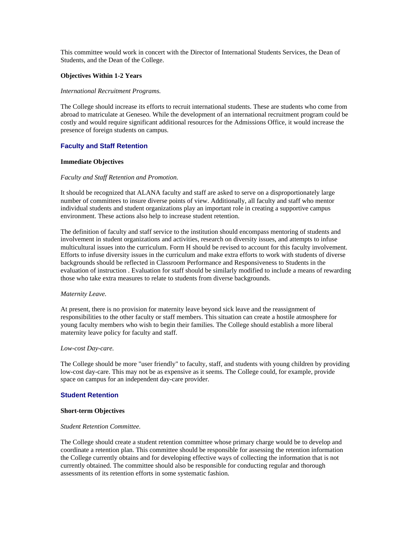This committee would work in concert with the Director of International Students Services, the Dean of Students, and the Dean of the College.

# **Objectives Within 1-2 Years**

## *International Recruitment Programs.*

The College should increase its efforts to recruit international students. These are students who come from abroad to matriculate at Geneseo. While the development of an international recruitment program could be costly and would require significant additional resources for the Admissions Office, it would increase the presence of foreign students on campus.

# **Faculty and Staff Retention**

## **Immediate Objectives**

## *Faculty and Staff Retention and Promotion.*

It should be recognized that ALANA faculty and staff are asked to serve on a disproportionately large number of committees to insure diverse points of view. Additionally, all faculty and staff who mentor individual students and student organizations play an important role in creating a supportive campus environment. These actions also help to increase student retention.

The definition of faculty and staff service to the institution should encompass mentoring of students and involvement in student organizations and activities, research on diversity issues, and attempts to infuse multicultural issues into the curriculum. Form H should be revised to account for this faculty involvement. Efforts to infuse diversity issues in the curriculum and make extra efforts to work with students of diverse backgrounds should be reflected in Classroom Performance and Responsiveness to Students in the evaluation of instruction . Evaluation for staff should be similarly modified to include a means of rewarding those who take extra measures to relate to students from diverse backgrounds.

#### *Maternity Leave.*

At present, there is no provision for maternity leave beyond sick leave and the reassignment of responsibilities to the other faculty or staff members. This situation can create a hostile atmosphere for young faculty members who wish to begin their families. The College should establish a more liberal maternity leave policy for faculty and staff.

#### *Low-cost Day-care.*

The College should be more "user friendly" to faculty, staff, and students with young children by providing low-cost day-care. This may not be as expensive as it seems. The College could, for example, provide space on campus for an independent day-care provider.

## **Student Retention**

## **Short-term Objectives**

#### *Student Retention Committee.*

The College should create a student retention committee whose primary charge would be to develop and coordinate a retention plan. This committee should be responsible for assessing the retention information the College currently obtains and for developing effective ways of collecting the information that is not currently obtained. The committee should also be responsible for conducting regular and thorough assessments of its retention efforts in some systematic fashion.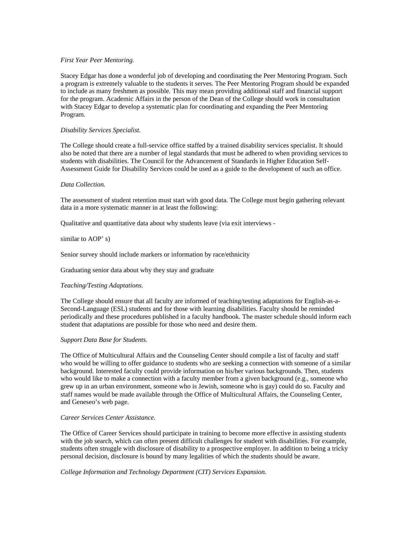## *First Year Peer Mentoring.*

Stacey Edgar has done a wonderful job of developing and coordinating the Peer Mentoring Program. Such a program is extremely valuable to the students it serves. The Peer Mentoring Program should be expanded to include as many freshmen as possible. This may mean providing additional staff and financial support for the program. Academic Affairs in the person of the Dean of the College should work in consultation with Stacey Edgar to develop a systematic plan for coordinating and expanding the Peer Mentoring Program.

# *Disability Services Specialist.*

The College should create a full-service office staffed by a trained disability services specialist. It should also be noted that there are a number of legal standards that must be adhered to when providing services to students with disabilities. The Council for the Advancement of Standards in Higher Education Self-Assessment Guide for Disability Services could be used as a guide to the development of such an office.

## *Data Collection.*

The assessment of student retention must start with good data. The College must begin gathering relevant data in a more systematic manner in at least the following:

Qualitative and quantitative data about why students leave (via exit interviews -

# similar to AOP' s)

Senior survey should include markers or information by race/ethnicity

Graduating senior data about why they stay and graduate

# *Teaching/Testing Adaptations.*

The College should ensure that all faculty are informed of teaching/testing adaptations for English-as-a-Second-Language (ESL) students and for those with learning disabilities. Faculty should be reminded periodically and these procedures published in a faculty handbook. The master schedule should inform each student that adaptations are possible for those who need and desire them.

## *Support Data Base for Students.*

The Office of Multicultural Affairs and the Counseling Center should compile a list of faculty and staff who would be willing to offer guidance to students who are seeking a connection with someone of a similar background. Interested faculty could provide information on his/her various backgrounds. Then, students who would like to make a connection with a faculty member from a given background (e.g., someone who grew up in an urban environment, someone who is Jewish, someone who is gay) could do so. Faculty and staff names would be made available through the Office of Multicultural Affairs, the Counseling Center, and Geneseo's web page.

## *Career Services Center Assistance.*

The Office of Career Services should participate in training to become more effective in assisting students with the job search, which can often present difficult challenges for student with disabilities. For example, students often struggle with disclosure of disability to a prospective employer. In addition to being a tricky personal decision, disclosure is bound by many legalities of which the students should be aware.

## *College Information and Technology Department (CIT) Services Expansion.*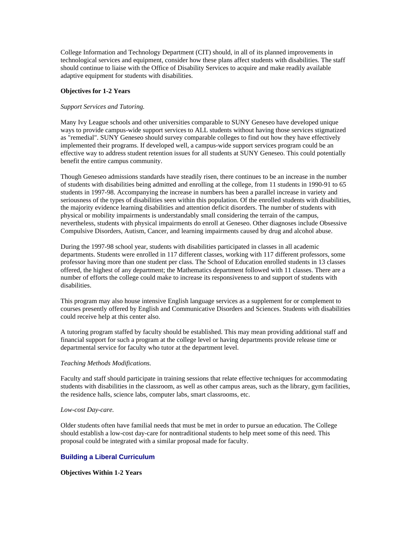College Information and Technology Department (CIT) should, in all of its planned improvements in technological services and equipment, consider how these plans affect students with disabilities. The staff should continue to liaise with the Office of Disability Services to acquire and make readily available adaptive equipment for students with disabilities.

# **Objectives for 1-2 Years**

# *Support Services and Tutoring.*

Many Ivy League schools and other universities comparable to SUNY Geneseo have developed unique ways to provide campus-wide support services to ALL students without having those services stigmatized as "remedial". SUNY Geneseo should survey comparable colleges to find out how they have effectively implemented their programs. If developed well, a campus-wide support services program could be an effective way to address student retention issues for all students at SUNY Geneseo. This could potentially benefit the entire campus community.

Though Geneseo admissions standards have steadily risen, there continues to be an increase in the number of students with disabilities being admitted and enrolling at the college, from 11 students in 1990-91 to 65 students in 1997-98. Accompanying the increase in numbers has been a parallel increase in variety and seriousness of the types of disabilities seen within this population. Of the enrolled students with disabilities, the majority evidence learning disabilities and attention deficit disorders. The number of students with physical or mobility impairments is understandably small considering the terrain of the campus, nevertheless, students with physical impairments do enroll at Geneseo. Other diagnoses include Obsessive Compulsive Disorders, Autism, Cancer, and learning impairments caused by drug and alcohol abuse.

During the 1997-98 school year, students with disabilities participated in classes in all academic departments. Students were enrolled in 117 different classes, working with 117 different professors, some professor having more than one student per class. The School of Education enrolled students in 13 classes offered, the highest of any department; the Mathematics department followed with 11 classes. There are a number of efforts the college could make to increase its responsiveness to and support of students with disabilities.

This program may also house intensive English language services as a supplement for or complement to courses presently offered by English and Communicative Disorders and Sciences. Students with disabilities could receive help at this center also.

A tutoring program staffed by faculty should be established. This may mean providing additional staff and financial support for such a program at the college level or having departments provide release time or departmental service for faculty who tutor at the department level.

## *Teaching Methods Modifications.*

Faculty and staff should participate in training sessions that relate effective techniques for accommodating students with disabilities in the classroom, as well as other campus areas, such as the library, gym facilities, the residence halls, science labs, computer labs, smart classrooms, etc.

## *Low-cost Day-care.*

Older students often have familial needs that must be met in order to pursue an education. The College should establish a low-cost day-care for nontraditional students to help meet some of this need. This proposal could be integrated with a similar proposal made for faculty.

# **Building a Liberal Curriculum**

# **Objectives Within 1-2 Years**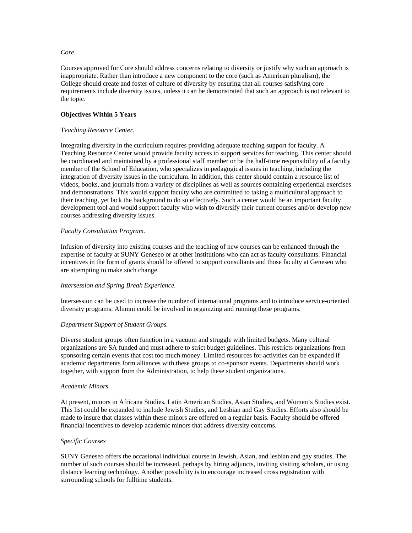## *Core.*

Courses approved for Core should address concerns relating to diversity or justify why such an approach is inappropriate. Rather than introduce a new component to the core (such as American pluralism), the College should create and foster of culture of diversity by ensuring that all courses satisfying core requirements include diversity issues, unless it can be demonstrated that such an approach is not relevant to the topic.

# **Objectives Within 5 Years**

# T*eaching Resource Center.*

Integrating diversity in the curriculum requires providing adequate teaching support for faculty. A Teaching Resource Center would provide faculty access to support services for teaching. This center should be coordinated and maintained by a professional staff member or be the half-time responsibility of a faculty member of the School of Education, who specializes in pedagogical issues in teaching, including the integration of diversity issues in the curriculum. In addition, this center should contain a resource list of videos, books, and journals from a variety of disciplines as well as sources containing experiential exercises and demonstrations. This would support faculty who are committed to taking a multicultural approach to their teaching, yet lack the background to do so effectively. Such a center would be an important faculty development tool and would support faculty who wish to diversify their current courses and/or develop new courses addressing diversity issues.

# *Faculty Consultation Program.*

Infusion of diversity into existing courses and the teaching of new courses can be enhanced through the expertise of faculty at SUNY Geneseo or at other institutions who can act as faculty consultants. Financial incentives in the form of grants should be offered to support consultants and those faculty at Geneseo who are attempting to make such change.

## *Intersession and Spring Break Experience.*

Intersession can be used to increase the number of international programs and to introduce service-oriented diversity programs. Alumni could be involved in organizing and running these programs.

## *Department Support of Student Groups.*

Diverse student groups often function in a vacuum and struggle with limited budgets. Many cultural organizations are SA funded and must adhere to strict budget guidelines. This restricts organizations from sponsoring certain events that cost too much money. Limited resources for activities can be expanded if academic departments form alliances with these groups to co-sponsor events. Departments should work together, with support from the Administration, to help these student organizations.

## *Academic Minors.*

At present, minors in Africana Studies, Latin American Studies, Asian Studies, and Women's Studies exist. This list could be expanded to include Jewish Studies, and Lesbian and Gay Studies. Efforts also should be made to insure that classes within these minors are offered on a regular basis. Faculty should be offered financial incentives to develop academic minors that address diversity concerns.

## *Specific Courses*

SUNY Geneseo offers the occasional individual course in Jewish, Asian, and lesbian and gay studies. The number of such courses should be increased, perhaps by hiring adjuncts, inviting visiting scholars, or using distance learning technology. Another possibility is to encourage increased cross registration with surrounding schools for fulltime students.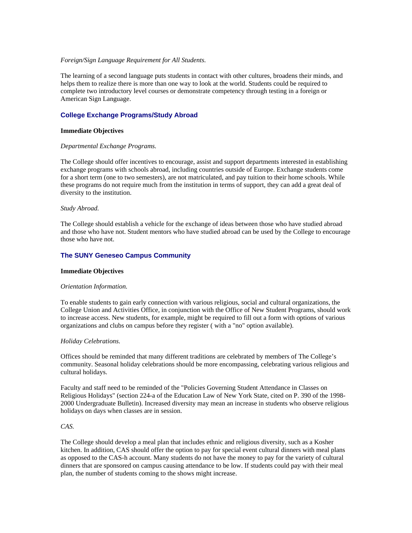## *Foreign/Sign Language Requirement for All Students.*

The learning of a second language puts students in contact with other cultures, broadens their minds, and helps them to realize there is more than one way to look at the world. Students could be required to complete two introductory level courses or demonstrate competency through testing in a foreign or American Sign Language.

# **College Exchange Programs/Study Abroad**

#### **Immediate Objectives**

#### *Departmental Exchange Programs.*

The College should offer incentives to encourage, assist and support departments interested in establishing exchange programs with schools abroad, including countries outside of Europe. Exchange students come for a short term (one to two semesters), are not matriculated, and pay tuition to their home schools. While these programs do not require much from the institution in terms of support, they can add a great deal of diversity to the institution.

#### *Study Abroad.*

The College should establish a vehicle for the exchange of ideas between those who have studied abroad and those who have not. Student mentors who have studied abroad can be used by the College to encourage those who have not.

## **The SUNY Geneseo Campus Community**

#### **Immediate Objectives**

#### *Orientation Information.*

To enable students to gain early connection with various religious, social and cultural organizations, the College Union and Activities Office, in conjunction with the Office of New Student Programs, should work to increase access. New students, for example, might be required to fill out a form with options of various organizations and clubs on campus before they register ( with a "no" option available).

## *Holiday Celebrations.*

Offices should be reminded that many different traditions are celebrated by members of The College's community. Seasonal holiday celebrations should be more encompassing, celebrating various religious and cultural holidays.

Faculty and staff need to be reminded of the "Policies Governing Student Attendance in Classes on Religious Holidays" (section 224-a of the Education Law of New York State, cited on P. 390 of the 1998- 2000 Undergraduate Bulletin). Increased diversity may mean an increase in students who observe religious holidays on days when classes are in session.

# *CAS.*

The College should develop a meal plan that includes ethnic and religious diversity, such as a Kosher kitchen. In addition, CAS should offer the option to pay for special event cultural dinners with meal plans as opposed to the CAS-h account. Many students do not have the money to pay for the variety of cultural dinners that are sponsored on campus causing attendance to be low. If students could pay with their meal plan, the number of students coming to the shows might increase.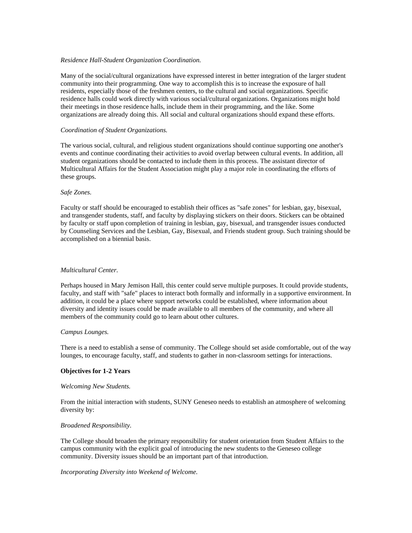## *Residence Hall-Student Organization Coordination.*

Many of the social/cultural organizations have expressed interest in better integration of the larger student community into their programming. One way to accomplish this is to increase the exposure of hall residents, especially those of the freshmen centers, to the cultural and social organizations. Specific residence halls could work directly with various social/cultural organizations. Organizations might hold their meetings in those residence halls, include them in their programming, and the like. Some organizations are already doing this. All social and cultural organizations should expand these efforts.

# *Coordination of Student Organizations.*

The various social, cultural, and religious student organizations should continue supporting one another's events and continue coordinating their activities to avoid overlap between cultural events. In addition, all student organizations should be contacted to include them in this process. The assistant director of Multicultural Affairs for the Student Association might play a major role in coordinating the efforts of these groups.

# *Safe Zones.*

Faculty or staff should be encouraged to establish their offices as "safe zones" for lesbian, gay, bisexual, and transgender students, staff, and faculty by displaying stickers on their doors. Stickers can be obtained by faculty or staff upon completion of training in lesbian, gay, bisexual, and transgender issues conducted by Counseling Services and the Lesbian, Gay, Bisexual, and Friends student group. Such training should be accomplished on a biennial basis.

# *Multicultural Center.*

Perhaps housed in Mary Jemison Hall, this center could serve multiple purposes. It could provide students, faculty, and staff with "safe" places to interact both formally and informally in a supportive environment. In addition, it could be a place where support networks could be established, where information about diversity and identity issues could be made available to all members of the community, and where all members of the community could go to learn about other cultures.

## *Campus Lounges.*

There is a need to establish a sense of community. The College should set aside comfortable, out of the way lounges, to encourage faculty, staff, and students to gather in non-classroom settings for interactions.

# **Objectives for 1-2 Years**

## *Welcoming New Students.*

From the initial interaction with students, SUNY Geneseo needs to establish an atmosphere of welcoming diversity by:

## *Broadened Responsibility.*

The College should broaden the primary responsibility for student orientation from Student Affairs to the campus community with the explicit goal of introducing the new students to the Geneseo college community. Diversity issues should be an important part of that introduction.

## *Incorporating Diversity into Weekend of Welcome.*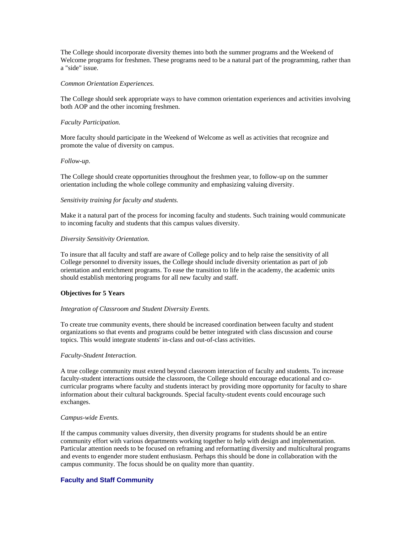The College should incorporate diversity themes into both the summer programs and the Weekend of Welcome programs for freshmen. These programs need to be a natural part of the programming, rather than a "side" issue.

#### *Common Orientation Experiences.*

The College should seek appropriate ways to have common orientation experiences and activities involving both AOP and the other incoming freshmen.

#### *Faculty Participation.*

More faculty should participate in the Weekend of Welcome as well as activities that recognize and promote the value of diversity on campus.

#### *Follow-up.*

The College should create opportunities throughout the freshmen year, to follow-up on the summer orientation including the whole college community and emphasizing valuing diversity.

#### *Sensitivity training for faculty and students.*

Make it a natural part of the process for incoming faculty and students. Such training would communicate to incoming faculty and students that this campus values diversity.

#### *Diversity Sensitivity Orientation.*

To insure that all faculty and staff are aware of College policy and to help raise the sensitivity of all College personnel to diversity issues, the College should include diversity orientation as part of job orientation and enrichment programs. To ease the transition to life in the academy, the academic units should establish mentoring programs for all new faculty and staff.

#### **Objectives for 5 Years**

#### *Integration of Classroom and Student Diversity Events.*

To create true community events, there should be increased coordination between faculty and student organizations so that events and programs could be better integrated with class discussion and course topics. This would integrate students' in-class and out-of-class activities.

#### *Faculty-Student Interaction.*

A true college community must extend beyond classroom interaction of faculty and students. To increase faculty-student interactions outside the classroom, the College should encourage educational and cocurricular programs where faculty and students interact by providing more opportunity for faculty to share information about their cultural backgrounds. Special faculty-student events could encourage such exchanges.

#### *Campus-wide Events.*

If the campus community values diversity, then diversity programs for students should be an entire community effort with various departments working together to help with design and implementation. Particular attention needs to be focused on reframing and reformatting diversity and multicultural programs and events to engender more student enthusiasm. Perhaps this should be done in collaboration with the campus community. The focus should be on quality more than quantity.

## **Faculty and Staff Community**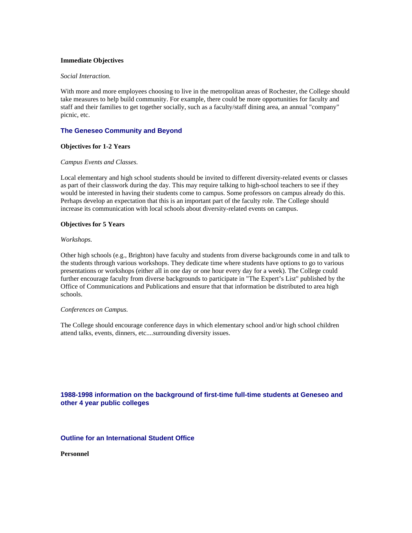#### **Immediate Objectives**

#### *Social Interaction.*

With more and more employees choosing to live in the metropolitan areas of Rochester, the College should take measures to help build community. For example, there could be more opportunities for faculty and staff and their families to get together socially, such as a faculty/staff dining area, an annual "company" picnic, etc.

## **The Geneseo Community and Beyond**

#### **Objectives for 1-2 Years**

#### *Campus Events and Classes.*

Local elementary and high school students should be invited to different diversity-related events or classes as part of their classwork during the day. This may require talking to high-school teachers to see if they would be interested in having their students come to campus. Some professors on campus already do this. Perhaps develop an expectation that this is an important part of the faculty role. The College should increase its communication with local schools about diversity-related events on campus.

#### **Objectives for 5 Years**

#### *Workshops.*

Other high schools (e.g., Brighton) have faculty and students from diverse backgrounds come in and talk to the students through various workshops. They dedicate time where students have options to go to various presentations or workshops (either all in one day or one hour every day for a week). The College could further encourage faculty from diverse backgrounds to participate in "The Expert's List" published by the Office of Communications and Publications and ensure that that information be distributed to area high schools.

#### *Conferences on Campus.*

The College should encourage conference days in which elementary school and/or high school children attend talks, events, dinners, etc....surrounding diversity issues.

# **1988-1998 information on the background of first-time full-time students at Geneseo and other 4 year public colleges**

# **Outline for an International Student Office**

**Personnel**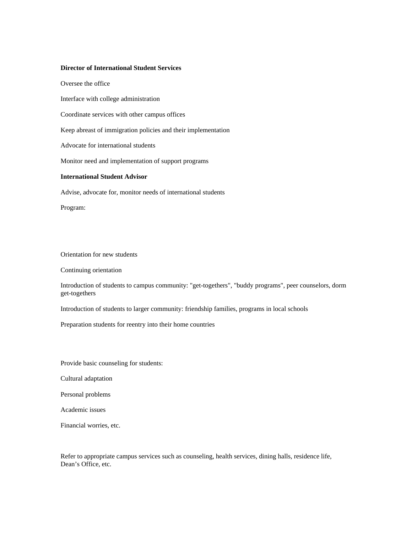#### **Director of International Student Services**

Oversee the office

Interface with college administration

Coordinate services with other campus offices

Keep abreast of immigration policies and their implementation

Advocate for international students

Monitor need and implementation of support programs

# **International Student Advisor**

Advise, advocate for, monitor needs of international students

Program:

Orientation for new students

Continuing orientation

Introduction of students to campus community: "get-togethers", "buddy programs", peer counselors, dorm get-togethers

Introduction of students to larger community: friendship families, programs in local schools

Preparation students for reentry into their home countries

Provide basic counseling for students:

Cultural adaptation

Personal problems

Academic issues

Financial worries, etc.

Refer to appropriate campus services such as counseling, health services, dining halls, residence life, Dean's Office, etc.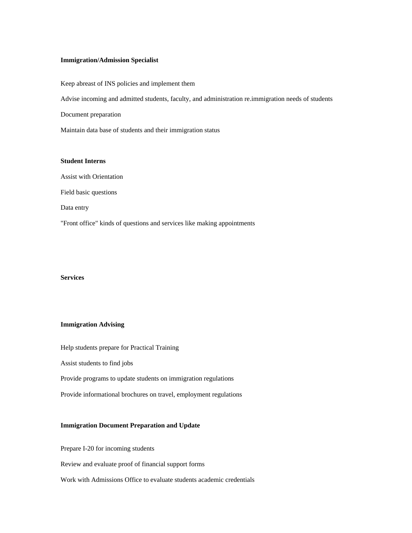## **Immigration/Admission Specialist**

Keep abreast of INS policies and implement them Advise incoming and admitted students, faculty, and administration re.immigration needs of students Document preparation Maintain data base of students and their immigration status

#### **Student Interns**

Assist with Orientation Field basic questions Data entry "Front office" kinds of questions and services like making appointments

# **Services**

# **Immigration Advising**

Help students prepare for Practical Training

Assist students to find jobs

Provide programs to update students on immigration regulations

Provide informational brochures on travel, employment regulations

# **Immigration Document Preparation and Update**

Prepare I-20 for incoming students

Review and evaluate proof of financial support forms

Work with Admissions Office to evaluate students academic credentials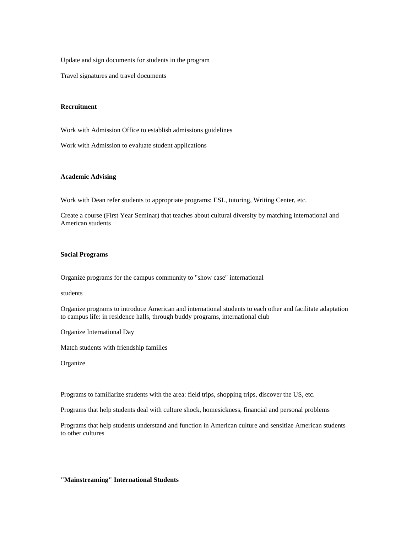Update and sign documents for students in the program

Travel signatures and travel documents

## **Recruitment**

Work with Admission Office to establish admissions guidelines

Work with Admission to evaluate student applications

#### **Academic Advising**

Work with Dean refer students to appropriate programs: ESL, tutoring, Writing Center, etc.

Create a course (First Year Seminar) that teaches about cultural diversity by matching international and American students

#### **Social Programs**

Organize programs for the campus community to "show case" international

students

Organize programs to introduce American and international students to each other and facilitate adaptation to campus life: in residence halls, through buddy programs, international club

Organize International Day

Match students with friendship families

**Organize** 

Programs to familiarize students with the area: field trips, shopping trips, discover the US, etc.

Programs that help students deal with culture shock, homesickness, financial and personal problems

Programs that help students understand and function in American culture and sensitize American students to other cultures

#### **"Mainstreaming" International Students**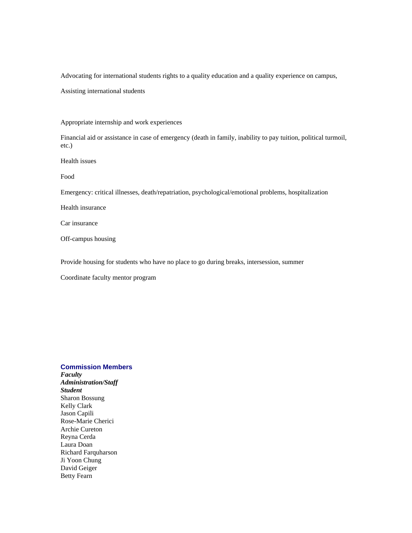Advocating for international students rights to a quality education and a quality experience on campus,

Assisting international students

Appropriate internship and work experiences

Financial aid or assistance in case of emergency (death in family, inability to pay tuition, political turmoil, etc.)

Health issues

Food

Emergency: critical illnesses, death/repatriation, psychological/emotional problems, hospitalization

Health insurance

Car insurance

Off-campus housing

Provide housing for students who have no place to go during breaks, intersession, summer

Coordinate faculty mentor program

# **Commission Members**

*Faculty Administration/Staff Student* Sharon Bossung Kelly Clark Jason Capili Rose-Marie Cherici Archie Cureton Reyna Cerda Laura Doan Richard Farquharson Ji Yoon Chung David Geiger Betty Fearn